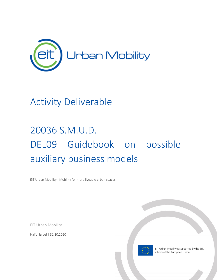

# Activity Deliverable

# 20036 S.M.U.D. DEL09 Guidebook on possible auxiliary business models

EIT Urban Mobility - Mobility for more liveable urban spaces

EIT Urban Mobility

Haifa, Israel | 31.10.2020



EIT Urban Mobility is supported by the EIT, a body of the European Union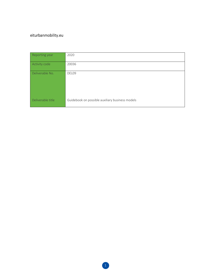## [eiturbanmobility.eu](http://www.eiturbanmobility.eu/)

| Reporting year    | 2020                                            |
|-------------------|-------------------------------------------------|
| Activity code     | 20036                                           |
| Deliverable No.   | DEL09                                           |
| Deliverable title | Guidebook on possible auxiliary business models |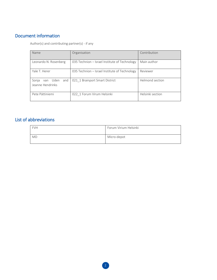# <span id="page-2-0"></span>Document information

Author(s) and contributing partner(s) - if any

| Name                                         | Organisation                                  | Contribution     |
|----------------------------------------------|-----------------------------------------------|------------------|
| Leonardo N. Rosenberg                        | 035 Technion - Israel Institute of Technology | Main author      |
| Yale T. Herer                                | 035 Technion - Israel Institute of Technology | Reviewer         |
| van Uden<br>and<br>Sonja<br>Jeanne Hendrinks | 021 1 Brainport Smart District                | Helmond section  |
| Pete Pättiniemi                              | 022 1 Forum Virum Helsinki                    | Helsinki section |

## <span id="page-2-1"></span>List of abbreviations

| <b>FVH</b> | Forum Virium Helsinki |
|------------|-----------------------|
| <b>MD</b>  | Micro-depot           |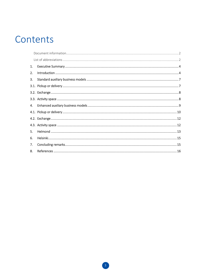# Contents

| 1. |  |
|----|--|
| 2. |  |
| 3. |  |
|    |  |
|    |  |
|    |  |
| 4. |  |
|    |  |
|    |  |
|    |  |
| 5. |  |
| 6. |  |
| 7. |  |
| 8. |  |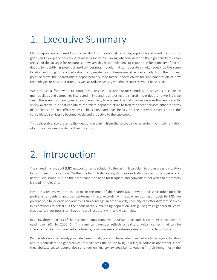# <span id="page-4-0"></span>1. Executive Summary

Micro-depots are a shared logistics facility. This means that providing support for efficient transport of goods and pickup and delivery is its main *raison d'être*. Taking into consideration the high density of urban areas and the struggle for resources, however, this deliverable aims to expand the functionality of microdepots by identifying potential auxiliary business models that can operate simultaneously at the same location and bring more added value to city residents and businesses alike. Particularly, from the business point of view, the shared micro-depot network may foster innovation by the implementation of new technologies or new operations, as well as reduce costs, given that resources would be shared.

We propose a framework to categorize possible auxiliary business models to serve as a guide to municipalities and companies interested in implanting and using the shared micro-depots network. As we see it, there are two main types of possible auxiliary businesses. The first involves services that are currently widely available, but that can utilize the micro-depot structure to facilitate these services either in terms of timeliness or cost effectiveness. The second depends heavily on the network structure and the consolidated services to become viable and attractive to the customer.

<span id="page-4-1"></span>This deliverable also presents the ideas and planning from the testbed side regarding the implementation of auxiliary business models at their locations.

# 2. Introduction

The shared micro-depot (MD) network offers a solution to the last-mile problem in urban areas, a situation badly in need of resolution. On the one hand, last-mile logistics creates traffic congestion and generates harmful emissions, but, on the other hand, the need for frequent and convenient deliveries to customers is steadily increasing.

Given this reality, we propose to make the most of the shared MD network and solve other possible problems residents of an urban center might face. Accordingly, the auxiliary business models for MDs we present help tailor each network to its surroundings. In other words, each city can offer different services in its networks to better suit the needs of the surrounding population. This guide gives a general structure that auxiliary businesses can have and we illustrate it with a few examples.

In 2015, three-quarters of the European population lived in urban areas and this number is expected to reach over 80% by 2050 [1]. This significant number reflects a reality of urban centers that can be characterized by tiny, crowded apartments, consumerism and extensive use of disposable products.

People who live in a densely populated area usually prefer to be in, what they believe to be, a good location and this consideration generally counterbalances the option living in a larger house or apartment. Once they abdicate space, people also surrender owning *convenience* items, keeping in their home mostly the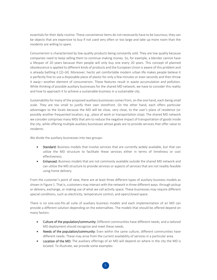essentials for their daily routine. These convenience items do not necessarily have to be luxurious; they can be objects that are expensive to buy if not used very often or too large and take up more room than the residents are willing to spare.

Consumerism is characterized by low-quality products being constantly sold. They are low quality because companies need to keep selling them to continue making money. So, for example, a blender cannot have a lifespan of 20 years because then people will only buy one every 20 years. This concept of planned obsolescence is applied to different kinds of products and the European Union is aware of this problem and is already battling it [2]–[4]. Moreover, hectic yet comfortable modern urban life makes people believe it is perfectly fine to use a disposable piece of plastic for only a few minutes or even seconds and then throw it away—another element of consumerism. These features result in waste accumulation and pollution. While thinking of possible auxiliary businesses for the shared MD network, we have to consider this reality and how to approach it to achieve a sustainable business in a sustainable city.

Sustainability for many of the proposed auxiliary businesses comes from, on the one hand, each being small scale. They are too small to justify their own storefront. On the other hand, each offers particular advantages to the locals because the MD will be close, very close, to the user's place of residence (or possibly another frequented location, e.g., place of work or transportation stop). The shared MD network we consider comprises many MDs that aim to reduce the negative impact of transportation of goods inside the city, while offering multiple auxiliary businesses whose goals are to provide services that offer value to residents.

We divide the auxiliary businesses into two groups:

- Standard: Business models that involve services that are currently widely available, but that can utilize the MD structure to facilitate these services either in terms of timeliness or cost effectiveness.
- Enhanced: Business models that are not commonly available outside the shared MD network and can utilize the MD structure to provide services or aspects of services that are not readily feasible using home delivery.

From the customer's point of view, there are at least three different types of auxiliary business models as shown in Figure 1. That is, customers may interact with the network in three different ways: through pickup or delivery, exchange, or making use of what we call activity space. These businesses may require different special conditions, such as electricity, temperature control, and open/closed space.

There is no one-size-fits-all suite of auxiliary business models and each implementation of an MD can provide a different solution depending on the externalities. The models that should be offered depend on many factors:

- Culture of the population/community: Different communities have different needs, and a tailored MD deployment should recognize and meet these needs.
- Needs of the population/community: Even within the same culture, different communities have different needs. These may arise from the current availability of services in a particular area.
- Location of the MD: The auxiliary offerings of an MD will depend on where in the city the MD is located. To illustrate, we provide some examples: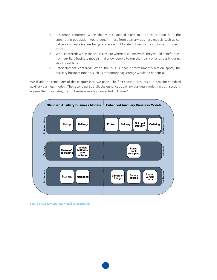- o Residence centered: When the MD is located close to a transportation hub, the commuting population would benefit most from auxiliary business models such as car battery exchange (versus being less relevant if located closer to the customer's home or office).
- o Work centered: When the MD is close to where residents work, they would benefit most from auxiliary business models that allow people to run their daily errands easily during short breaktimes.
- o Entertainment centered: When the MD is near entertainment/vacation spots, the auxiliary business models such as temporary bag storage would be beneficial.

We divide the remainder of this chapter into two parts. The first section presents our ideas for standard auxiliary business models. The second part details the enhanced auxiliary business models. In both sections we use the three categories of business models presented in Figure 1.



Figure 1 Auxiliary business model categorization.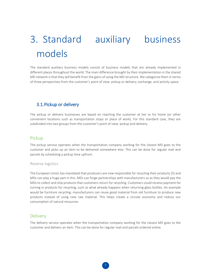# <span id="page-7-0"></span>3. Standard auxiliary business models

The standard auxiliary business models consist of business models that are already implemented in different places throughout the world. The main difference brought by their implementation in the shared MD network is that they will benefit from the gains of using the MD structure. We categorize them in terms of three perspectives from the customer's point of view: pickup or delivery, exchange, and activity space.

### <span id="page-7-1"></span>3.1.Pickup or delivery

The pickup or delivery businesses are based on reaching the customer at her or his home (or other convenient locations such as transportation stops or place of work). For this standard case, they are subdivided into two groups from the customer's point of view: pickup and delivery.

#### Pickup

The pickup service operates when the transportation company working for the closest MD goes to the customer and picks up an item to be delivered somewhere else. This can be done for regular mail and parcels by scheduling a pickup time upfront.

#### Reverse logistics

The European Union has mandated that producers are now responsible for recycling their products [5] and MDs can play a huge part in this. MDs can forge partnerships with manufacturers so as they would pay the MDs to collect and ship products that customers return for recycling. Customers could receive payment for turning in products for recycling, such as what already happens when returning glass bottles. An example would be furniture recycling: manufacturers can reuse good material from old furniture to produce new products instead of using new raw material. This helps create a circular economy and reduce our consumption of natural resources.

#### Delivery

The delivery service operates when the transportation company working for the closest MD goes to the customer and delivers an item. This can be done for regular mail and parcels ordered online.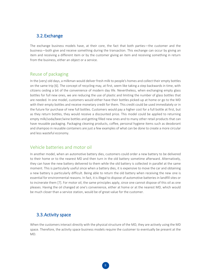### <span id="page-8-0"></span>3.2.Exchange

The exchange business models have, at their core, the fact that both parties—the customer and the business—both give and receive something during the transaction. This exchange can occur by giving an item and receiving a different item or by the customer giving an item and receiving something in return from the business, either an object or a service.

#### Reuse of packaging

In the (very) old days, a milkman would deliver fresh milk to people's homes and collect their empty bottles on the same trip [6]. The concept of recycling may, at first, seem like taking a step backwards in time, with citizens ceding a bit of the convenience of modern day life. Nevertheless, when exchanging empty glass bottles for full new ones, we are reducing the use of plastic and limiting the number of glass bottles that are needed. In one model, customers would either have their bottles picked-up at home or go to the MD with their empty bottles and receive monetary credit for them. This credit could be used immediately or in the future for purchase of new full bottles. Customers would pay a higher cost for a full bottle at first, but as they return bottles, they would receive a discounted price. This model could be applied to returning empty milk/soda/beer/wine bottles and getting filled new ones and to many other retail products that can have reusable packaging. Packaging cleaning products, coffee, personal hygiene items such as deodorant and shampoo in reusable containers are just a few examples of what can be done to create a more circular and less wasteful economy.

#### Vehicle batteries and motor oil

In another model, when an automotive battery dies, customers could order a new battery to be delivered to their home or to the nearest MD and then turn in the old battery sometime afterward. Alternatively, they can have the new battery delivered to them while the old battery is collected in parallel at the same moment. This is particularly useful since when a battery dies, it is expensive to move the car and obtaining a new battery is particularly difficult. Being able to return the old battery when receiving the new one is essential for environmental reasons. In fact, it is illegal to dispose of automotive batteries in landfill sites or to incinerate them [7]. For motor oil, the same principles apply, since one cannot dispose of this oil as one pleases. Having the oil changed at one's convenience, either at home or at the nearest MD, which would be much closer than a service station, would be of great value for the customer.

#### <span id="page-8-1"></span>3.3.Activity space

When the customers interact directly with the physical structure of the MD, they are actively using the MD space. Therefore, the activity space business models require the customer to eventually be present at the MD.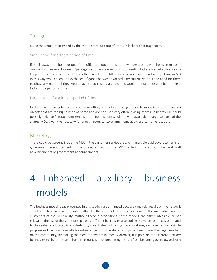#### Storage

Using the structure provided by the MD to store customers' items in lockers or storage units.

Small items for a short period of time

If one is away from home or out of the office and does not want to wander around with heavy items, or if one wants to leave a document/package for someone else to pick up, renting lockers is an effective way to keep items safe and not have to carry them at all times. MDs would provide space and safety. Using an MD in this way would allow the exchange of goods between two ordinary citizens without the need for them to physically meet. All they would have to do is send a code. This would be made possible by renting a locker for a period of time.

#### Larger items for a longer period of time

In the case of having to vacate a home or office, and not yet having a place to move into, or if there are objects that are too big to keep at home and are not used very often, placing them in a nearby MD could possibly help. Self-storage unit rentals at the nearest MD would only be available at large versions of the shared MDs, given the necessity for enough room to store large items at a close-to-home location.

#### Marketing

There could be screens inside the MD, in the customer service area, with multiple paid advertisements or government announcements. In addition, affixed to the MD's exterior, there could be paid wall advertisements or government announcements.

# <span id="page-9-0"></span>4. Enhanced auxiliary business models

The business model ideas presented in this section are enhanced because they rely heavily on the network structure. They are made possible either by the consolidation of services or by the mandatory use by customers of the MD facility. Without these preconditions, these models are either infeasible or not relevant. The use of the same MD space by different businesses also adds more value to the customer and to the real estate located in a high-density area. Instead of having many locations, each one serving a single purpose and perhaps being idle for extended periods, the shared component minimizes the negative effect on the community, by making the most of fewer resources. Moreover, it is possible for different auxiliary businesses to share the same human resources, thus preventing the MD from becoming overcrowded with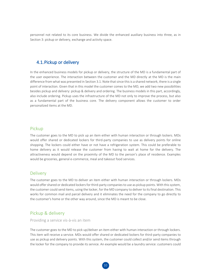<span id="page-10-0"></span>personnel not related to its core business. We divide the enhanced auxiliary business into three, as in Section [3:](#page-7-0) pickup or delivery, exchange and activity space.

#### 4.1.Pickup or delivery

In the enhanced business models for pickup or delivery, the structure of the MD is a fundamental part of the user experience. The interaction between the customer and the MD directly at the MD is the main difference from what was presented in Sectio[n 3.1.](#page-7-1) Note that since this is a shared network, there is a single point of interaction. Given that in this model the customer comes to the MD, we add two new possibilities besides pickup and delivery: pickup & delivery and ordering. The business models in this part, accordingly, also include ordering. Pickup uses the infrastructure of the MD not only to improve the process, but also as a fundamental part of the business core. The delivery component allows the customer to order personalized items at the MD.

#### Pickup

The customer goes to the MD to pick up an item either with human interaction or through lockers. MDs would offer shared or dedicated lockers for third-party companies to use as delivery points for online shopping. The lockers could either have or not have a refrigeration system. This could be preferable to home delivery as it would release the customer from having to wait at home for the delivery. The attractiveness would depend on the proximity of the MD to the person's place of residence. Examples would be groceries, general e-commerce, meal and takeout food services.

#### Delivery

The customer goes to the MD to deliver an item either with human interaction or through lockers. MDs would offer shared or dedicated lockers for third-party companies to use as pickup points. With this system, the customer could send items, using the locker, for the MD company to deliver to its final destination. This works for common mail and parcel delivery and it eliminates the need for the company to go directly to the customer's home or the other way around, since the MD is meant to be close.

#### Pickup & delivery

#### Providing a service vis-à-vis an item

The customer goes to the MD to pick up/deliver an item either with human interaction or through lockers. This item will receive a service. MDs would offer shared or dedicated lockers for third-party companies to use as pickup and delivery points. With this system, the customer could collect and/or send items through the locker for the company to provide its service. An example would be a laundry service: customers could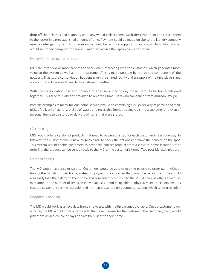drop-off their clothes and a laundry company would collect them, wash/dry-clean them and return them to the locker in a preestablished amount of time. Payment could be made on site to the laundry company using an intelligent system. Another example would be technical support for laptops, in which the customer would send their computer for analysis and then receive the laptop back after repair.

#### Many-for-one home service

MDs can offer two or more services at once when interacting with the customer, which generates more value to the system as well as to the customer. This is made possible by the shared component of the network. That is, the consolidation happens given the shared facility and transport of multiple players and allows different services to reach the customer together.

With the consolidation it is also possible to arrange a specific day for all items to be home-delivered together. This service is already provided to Amazon Prime users who can benefit from Amazon Day [8].

Possible examples of many-for-one home services would be combining pickup/delivery of parcels and mail, pickup/delivery of laundry, pickup of waste and recyclable items at a single visit to a customer or pickup of personal items to be stored or delivery of items that were stored.

#### Ordering

MDs would offer a catalog of products that need to be personalized for each customer in a unique way. In this way, the customer would have to go to a MD to check the options and make their choice on the spot. This system would enable customers to order the correct product from a close to home location. After ordering, the product can be sent directly to the MD or the customer's home. Two possible examples are:

#### Paint ordering

The MD would have a color palette. Customers would be able to use the palette to order paint without leaving the vicinity of their home, instead of paying for a color-fan that would be barely used. They could also easily take the palette to their home and conveniently return it to the MD. A color palette is expensive in relation to the number of times an individual uses it and being able to physically see the colors ensures that the customer sees the real color and not that presented on a computer screen, which is not true color.

#### Eyeglass ordering

The MD would work as an eyeglass frame showcase, with multiple frames available. Once a customer picks a frame, the MD would order a frame with the correct lenses for the customer. The customer, then, would pick them up in a couple of days or have them sent to their home.

11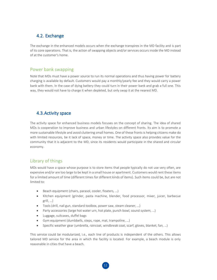## <span id="page-12-0"></span>4.2. Exchange

The exchange in the enhanced models occurs when the exchange transpires in the MD facility and is part of its core operations. That is, the action of swapping objects and/or services occurs inside the MD instead of at the customer's home.

#### Power bank swapping

Note that MDs must have a power source to run its normal operations and thus having power for battery charging is available by default. Customers would pay a monthly/yearly fee and they would carry a power bank with them. In the case of dying battery they could turn in their power bank and grab a full one. This way, they would not have to charge it when depleted, but only swap it at the nearest MD.

## <span id="page-12-1"></span>4.3.Activity space

The activity space for enhanced business models focuses on the concept of sharing. The idea of shared MDs is cooperation to improve business and urban lifestyles on different fronts. Its aim is to promote a more sustainable lifestyle and avoid cluttering small homes. One of these fronts is helping citizens make do with limited resources, be it lack of space, money or time. The activity space also provides value for the community that it is adjacent to the MD, since its residents would participate in the shared and circular economy.

### Library of things

MDs would have a space whose purpose is to store items that people typically do not use very often, are expensive and/or are too large to be kept in a small house or apartment. Customers would rent these items for a limited amount of time (different times for different kinds of items). Such items could be, but are not limited to:

- Beach equipment (chairs, parasol, cooler, floaters, …)
- Kitchen equipment (grinder, pasta machine, blender, food processor, mixer, juicer, barbecue grill, …)
- Tools (drill, nail gun, standard toolbox, power saw, steam cleaner, …)
- Party accessories (large hot water urn, hot plate, punch bowl, sound system, ...)
- Luggage, suitcases, duffel bags
- Gym equipment (dumbbells, steps, rope, mat, trampoline, …)
- Specific weather gear (umbrella, raincoat, windbreak coat, scarf, gloves, blanket, fan, …)

This service could be modularized, i.e., each line of products is independent of the others. This allows tailored MD service for the area in which the facility is located. For example, a beach module is only reasonable in cities that have a beach.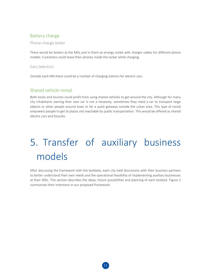## Battery charge

Phone-charge locker

There would be lockers at the MDs and in them an energy outlet with charger cables for different phone models. Customers could leave their phones inside the locker while charging.

Cars (electric)

Outside each MD there could be a number of charging stations for electric cars.

## Shared vehicle rental

Both locals and tourists could profit from using shared vehicles to get around the city. Although for many city inhabitants owning their own car is not a necessity, sometimes they need a car to transport large objects or other people around town or for a quick getaway outside the urban area. This type of rental empowers people to get to places not reachable by public transportation. This would be offered as shared electric cars and bicycles.

# <span id="page-13-0"></span>5. Transfer of auxiliary business models

After discussing the framework with the testbeds, each city held discussions with their business partners to better understand their own needs and the operational feasibility of implementing auxiliary businesses at their MDs. This section describes the ideas, future possibilities and planning of each testbed. Figure 2 summarizes their intentions in our proposed framework.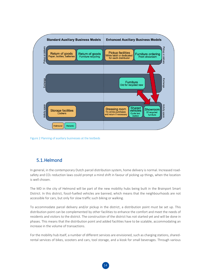

Figure 2 Planning of auxiliary businesses at the testbeds

## 5.1.Helmond

In general, in the contemporary Dutch parcel distribution system, home delivery is normal. Increased roadsafety and CO<sub>2</sub> reduction laws could prompt a mind shift in favour of picking up things, when the location is well chosen.

The MD in the city of Helmond will be part of the new mobility hubs being built in the Brainport Smart District. In this district, fossil-fuelled vehicles are banned, which means that the neighbourhoods are not accessible for cars, but only for slow traffic such biking or walking.

To accommodate parcel delivery and/or pickup in the district, a distribution point must be set up. This distribution point can be complemented by other facilities to enhance the comfort and meet the needs of residents and visitors to the district. The construction of the district has not started yet and will be done in phases. This means that the distribution point and added facilities have to be scalable, accommodating an increase in the volume of transactions.

For the mobility hub itself, a number of different services are envisioned, such as charging stations, sharedrental services of bikes, scooters and cars, tool storage, and a kiosk for small beverages. Through various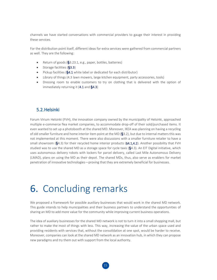channels we have started conversations with commercial providers to gauge their interest in providing these services.

For the distribution point itself, different ideas for extra services were gathered from commercial partners as well. They are the following:

- Return of goods (**§**[3.2](#page-8-0)[3.1,](#page-7-1) e.g., paper, bottles, batteries)
- Storage facilities (**§**[3.3\)](#page-8-1)
- Pickup facilities (**§**[4.1](#page-10-0) white label or dedicated for each distributor)
- Library of things [\(4.3](#page-12-1) lawn mowers, large kitchen equipment, party accessories, tools)
- <span id="page-15-0"></span>• Dressing room to enable customers to try on clothing that is delivered with the option of immediately returning it [\(4.1](#page-10-0) and **§**[4.3\)](#page-12-1)

#### 5.2.Helsinki

Forum Virium Helsinki (FVH), the innovation company owned by the municipality of Helsinki, approached multiple e-commerce flea market companies, to accommodate drop-off of their sold/purchased items. It even wanted to set up a photobooth at the shared MD. Moreover, IKEA was planning on having a recycling of old smaller furniture and home interior item point at the MD (**§**[3.2\)](#page-8-0), but due to internal matters this was not implemented at this moment. There were also discussions with a smaller furniture retailer to have a small showroom (**§**[4.3\)](#page-12-1) for their recycled home interior products ([§4.1](#page-10-0)[,4.2\)](#page-12-0). Another possibility that FVH studied was to use the shared MD as a storage space for cycle taxis (**§**[4.3\)](#page-12-1). An EIT Digital initiative, which uses autonomous delivery robots with lockers for parcel delivery, called Last Mile Autonomous Delivery (LMAD), plans on using the MD as their depot. The shared MDs, thus, also serve as enablers for market penetration of innovative technologies—proving that they are extremely beneficial for businesses.

# <span id="page-15-1"></span>6. Concluding remarks

We proposed a framework for possible auxiliary businesses that would work in the shared MD network. This guide intends to help municipalities and their business partners to understand the opportunities of sharing an MD to add more value for the community while improving current business operations.

The idea of auxiliary businesses for the shared MD network is not to turn it into a small shopping mall, but rather to make the most of things with less. This way, increasing the value of the urban space used and providing residents with services that, without the consolidation at one spot, would be harder to receive. Moreover, companies can look at the shared MD network as an innovation hub, in which they can propose new paradigms and try them out with support from the local authority.

15